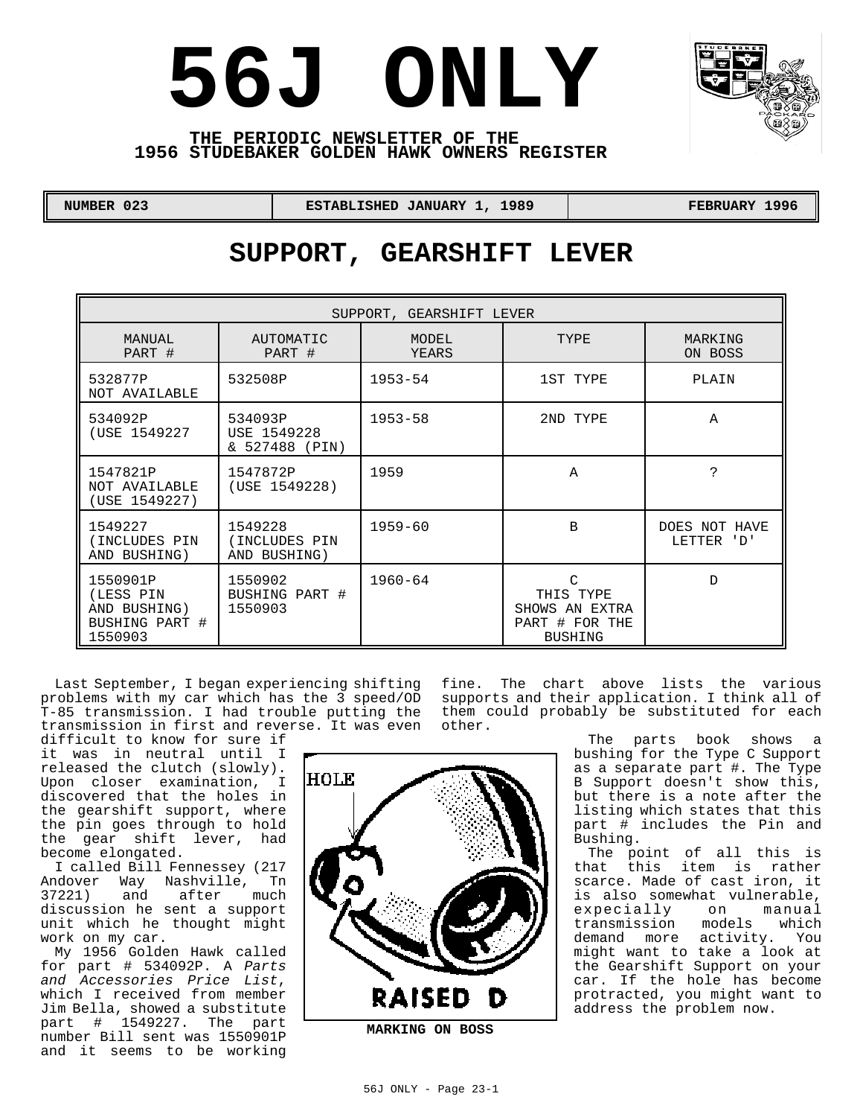



### **THE PERIODIC NEWSLETTER OF THE 1956 STUDEBAKER GOLDEN HAWK OWNERS REGISTER**

| <b>NUMBER 023</b> |  |
|-------------------|--|
|                   |  |

 **NUMBER 023 ESTABLISHED JANUARY 1, 1989 FEBRUARY 1996** 

# **SUPPORT, GEARSHIFT LEVER**

| SUPPORT, GEARSHIFT LEVER                                           |                                             |                |                                                                      |                             |  |  |
|--------------------------------------------------------------------|---------------------------------------------|----------------|----------------------------------------------------------------------|-----------------------------|--|--|
| MANUAL<br>PART #                                                   | AUTOMATIC<br>PART #                         | MODEL<br>YEARS | TYPE                                                                 | MARKING<br>ON BOSS          |  |  |
| 532877P<br>NOT AVAILABLE                                           | 532508P                                     | $1953 - 54$    | 1ST TYPE                                                             | PLAIN                       |  |  |
| 534092P<br>(USE 1549227                                            | 534093P<br>USE 1549228<br>& 527488<br>(PIN) | $1953 - 58$    | 2ND TYPE                                                             | Α                           |  |  |
| 1547821P<br>NOT AVAILABLE<br>(USE 1549227)                         | 1547872P<br>(USE 1549228)                   | 1959           | Α                                                                    | っ                           |  |  |
| 1549227<br>(INCLUDES PIN<br>AND BUSHING)                           | 1549228<br>(INCLUDES PIN<br>AND BUSHING)    | $1959 - 60$    | B                                                                    | DOES NOT HAVE<br>LETTER 'D' |  |  |
| 1550901P<br>(LESS PIN<br>AND BUSHING)<br>BUSHING PART #<br>1550903 | 1550902<br>BUSHING PART #<br>1550903        | $1960 - 64$    | C<br>THIS TYPE<br>SHOWS AN EXTRA<br>PART # FOR THE<br><b>BUSHING</b> | D                           |  |  |

Last September, I began experiencing shifting problems with my car which has the 3 speed/OD T-85 transmission. I had trouble putting the them could probably be substituted for each transmission in first and reverse. It was even other.

difficult to know for sure if it was in neutral until I released the clutch (slowly). Upon closer examination, I discovered that the holes in the gearshift support, where the pin goes through to hold the gear shift lever, had become elongated.

I called Bill Fennessey (217 Andover Way Nashville, Tn 37221) and after much discussion he sent a support unit which he thought might work on my car.

My 1956 Golden Hawk called for part # 534092P. A *Parts and Accessories Price List*, which I received from member Jim Bella, showed a substitute part # 1549227. The part number Bill sent was 1550901P and it seems to be working fine. The chart above lists the various supports and their application. I think all of

The parts book shows a bushing for the Type C Support as a separate part #. The Type B Support doesn't show this, but there is a note after the listing which states that this part # includes the Pin and Bushing.

The point of all this is that this item is rather scarce. Made of cast iron, it is also somewhat vulnerable, expecially on manual transmission models which demand more activity. You might want to take a look at the Gearshift Support on your car. If the hole has become protracted, you might want to address the problem now.

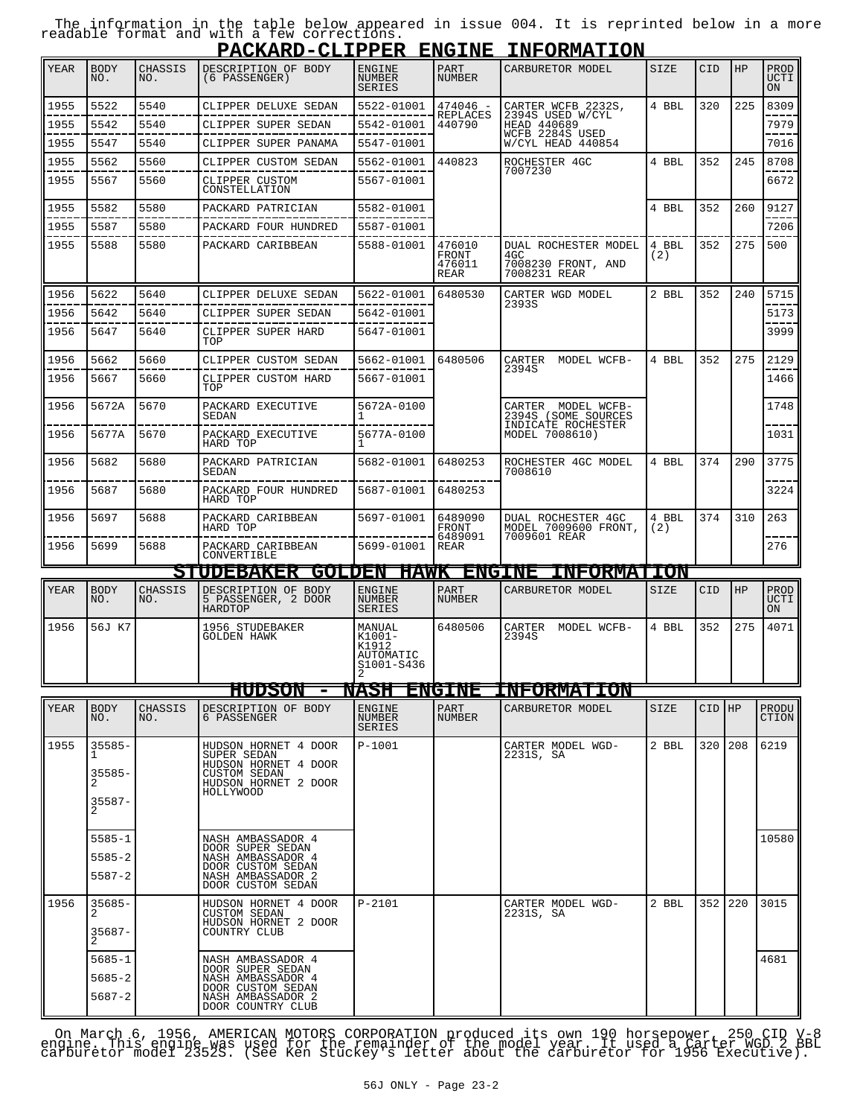The information in the table below appeared in issue 004. It is reprinted below in a more readable format and with a few corrections.

|      |                               |                |                                                                                                                  |                                                         |                                   | PACKARD-CLIPPER ENGINE INFORMATION                                                            |              |            |     |                                  |
|------|-------------------------------|----------------|------------------------------------------------------------------------------------------------------------------|---------------------------------------------------------|-----------------------------------|-----------------------------------------------------------------------------------------------|--------------|------------|-----|----------------------------------|
| YEAR | <b>BODY</b><br>NO.            | CHASSIS<br>NO. | DESCRIPTION OF BODY<br>(6 PASSENGER)                                                                             | <b>ENGINE</b><br><b>NUMBER</b><br><b>SERIES</b>         | PART<br>NUMBER                    | CARBURETOR MODEL                                                                              | SIZE         | <b>CID</b> | HP  | PROD<br><b>UCTI</b><br><b>ON</b> |
| 1955 | 5522                          | 5540           | CLIPPER DELUXE SEDAN                                                                                             | 5522-01001                                              | $474046 -$                        | CARTER WCFB 2232S,<br>2394S USED W/CYL<br>HEAD 440689<br>WCFB 2284S USED<br>W/CYL HEAD 440854 | 4 BBL        | 320        | 225 | 8309                             |
| 1955 | 5542                          | 5540           | CLIPPER SUPER SEDAN                                                                                              | 5542-01001                                              | REPLACES<br>440790                |                                                                                               |              |            |     | 7979                             |
| 1955 | 5547                          | 5540           | CLIPPER SUPER PANAMA                                                                                             | 5547-01001                                              |                                   |                                                                                               |              |            |     | 7016                             |
| 1955 | 5562                          | 5560           | CLIPPER CUSTOM SEDAN                                                                                             | 5562-01001                                              | 440823                            | ROCHESTER 4GC                                                                                 | 4 BBL        | 352        | 245 | 8708                             |
| 1955 | 5567                          | 5560           | CLIPPER CUSTOM<br>CONSTELLATION                                                                                  | 5567-01001                                              |                                   | 7007230                                                                                       |              |            |     | 6672                             |
| 1955 | 5582                          | 5580           | PACKARD PATRICIAN                                                                                                | 5582-01001                                              |                                   |                                                                                               | 4 BBL        | 352        | 260 | 9127                             |
| 1955 | 5587                          | 5580           | PACKARD FOUR HUNDRED                                                                                             | 5587-01001                                              |                                   |                                                                                               |              |            |     | 7206                             |
| 1955 | 5588                          | 5580           | PACKARD CARIBBEAN                                                                                                | 5588-01001                                              | 476010<br>FRONT<br>476011<br>REAR | DUAL ROCHESTER MODEL<br>4GC<br>7008230 FRONT, AND<br>7008231 REAR                             | 4 BBL<br>(2) | 352        | 275 | 500                              |
| 1956 | 5622                          | 5640           | CLIPPER DELUXE SEDAN                                                                                             | 5622-01001                                              | 6480530                           | CARTER WGD MODEL                                                                              | 2 BBL        | 352        | 240 | 5715                             |
| 1956 | 5642                          | 5640           | CLIPPER SUPER SEDAN                                                                                              | 5642-01001                                              |                                   | 2393S                                                                                         |              |            |     | 5173                             |
| 1956 | 5647                          | 5640           | CLIPPER SUPER HARD<br>TOP                                                                                        | 5647-01001                                              |                                   |                                                                                               |              |            |     | 3999                             |
| 1956 | 5662                          | 5660           | CLIPPER CUSTOM SEDAN                                                                                             | 5662-01001                                              | 6480506                           | CARTER<br>MODEL WCFB-<br>2394S                                                                | 4 BBL        | 352        | 275 | 2129                             |
| 1956 | 5667                          | 5660           | CLIPPER CUSTOM HARD<br>TOP                                                                                       | 5667-01001                                              |                                   |                                                                                               |              |            |     | 1466                             |
| 1956 | 5672A                         | 5670           | PACKARD EXECUTIVE<br>SEDAN                                                                                       | 5672A-0100                                              |                                   | CARTER MODEL WCFB-<br>2394S (SOME SOURCES<br>INDICATE ROCHESTER                               |              |            |     | 1748                             |
| 1956 | 5677A                         | 5670           | PACKARD EXECUTIVE<br>HARD TOP                                                                                    | 5677A-0100                                              |                                   | MODEL 7008610)                                                                                |              |            |     | 1031                             |
| 1956 | 5682                          | 5680           | PACKARD PATRICIAN<br>SEDAN                                                                                       | 5682-01001                                              | 6480253                           | ROCHESTER 4GC MODEL<br>7008610                                                                | 4 BBL        | 374        | 290 | 3775                             |
| 1956 | 5687                          | 5680           | PACKARD FOUR HUNDRED<br>HARD TOP                                                                                 | 5687-01001                                              | 6480253                           |                                                                                               |              |            |     | 3224                             |
| 1956 | 5697                          | 5688           | PACKARD CARIBBEAN<br>HARD TOP                                                                                    | 5697-01001                                              | 6489090<br>FRONT<br>6489091       | <b>DUAL ROCHESTER 4GC</b><br>MODEL 7009600 FRONT,<br>7009601 REAR                             | 4 BBL<br>(2) | 374        | 310 | 263                              |
| 1956 | 5699                          | 5688           | PACKARD CARIBBEAN<br>CONVERTIBLE                                                                                 | 5699-01001                                              | REAR                              |                                                                                               |              |            |     | 276                              |
|      |                               |                | <b>STUDEBAKER</b>                                                                                                |                                                         |                                   | <b>GOLDEN HAWK ENGINE INFORMATION</b>                                                         |              |            |     |                                  |
| YEAR | <b>BODY</b><br>NO.            | CHASSIS<br>NO. | DESCRIPTION OF BODY<br>5 PASSENGER, 2 DOOR<br>HARDTOP                                                            | <b>ENGINE</b><br><b>NUMBER</b><br><b>SERIES</b>         | PART<br><b>NUMBER</b>             | CARBURETOR MODEL                                                                              | SIZE         | <b>CID</b> | HP  | PROD<br><b>UCTI</b><br>ON        |
| 1956 | 56J K7                        |                | 1956 STUDEBAKER<br><b>GOLDEN HAWK</b>                                                                            | MANUAL<br>$K1001 -$<br>K1912<br>AUTOMATIC<br>S1001-S436 | 6480506                           | CARTER<br>MODEL WCFB-<br>2394S                                                                | 4 BBL        | 352        | 275 | 4071                             |
|      |                               |                | HUDSON                                                                                                           | NASH                                                    | <b>ENGINE</b>                     | <b>INFORMATION</b>                                                                            |              |            |     |                                  |
| YEAR | <b>BODY</b><br>NO.            | CHASSIS<br>NO. | DESCRIPTION OF BODY<br>6 PASSENGER                                                                               | <b>ENGINE</b><br>NUMBER<br>SERIES                       | PART<br>NUMBER                    | CARBURETOR MODEL                                                                              | SIZE         | CID HP     |     | PRODU<br>CTION                   |
| 1955 | $35585 -$<br>35585-<br>35587- |                | HUDSON HORNET 4 DOOR<br>SUPER SEDAN<br>HUDSON HORNET 4 DOOR<br>CUSTOM SEDAN<br>HUDSON HORNET 2 DOOR<br>HOLLYWOOD | $P-1001$                                                |                                   | CARTER MODEL WGD-<br>2231S, SA                                                                | 2 BBL        | 320        | 208 | 6219                             |
|      | $5585 - 1$                    |                | NASH AMBASSADOR 4                                                                                                |                                                         |                                   |                                                                                               |              |            |     | 10580                            |
|      | $5585 - 2$                    |                | DOOR SUPER SEDAN<br>NASH AMBASSADOR 4<br>DOOR CUSTOM SEDAN                                                       |                                                         |                                   |                                                                                               |              |            |     |                                  |
|      | $5587 - 2$                    |                | NASH AMBASSADOR 2<br>DOOR CUSTOM SEDAN                                                                           |                                                         |                                   |                                                                                               |              |            |     |                                  |
| 1956 | $35685 -$<br>2                |                | HUDSON HORNET 4 DOOR<br><b>CUSTOM SEDAN</b>                                                                      | $P-2101$                                                |                                   | CARTER MODEL WGD-<br>2231S, SA                                                                | 2 BBL        | 352        | 220 | 3015                             |
|      |                               |                | HUDSON HORNET 2 DOOR<br>COUNTRY CLUB                                                                             |                                                         |                                   |                                                                                               |              |            |     |                                  |
|      | $35687 -$                     |                |                                                                                                                  |                                                         |                                   |                                                                                               |              |            |     |                                  |
|      | $5685 - 1$                    |                | NASH AMBASSADOR 4                                                                                                |                                                         |                                   |                                                                                               |              |            |     | 4681                             |
|      | $5685 - 2$<br>$5687 - 2$      |                | DOOR SUPER SEDAN<br>NASH AMBASSADOR 4<br>DOOR CUSTOM SEDAN<br>NASH AMBASSADOR 2<br>DOOR COUNTRY CLUB             |                                                         |                                   |                                                                                               |              |            |     |                                  |

On March 6, 1956, AMERICAN MOTORS CORPORATION produced its own 190 horsepower, 250 CID V-8<br>engine. This engine was used for the remainder of the model year. It used a Carter WGD 2 BBL<br>carburetor model 2352S. (See Ken Stuck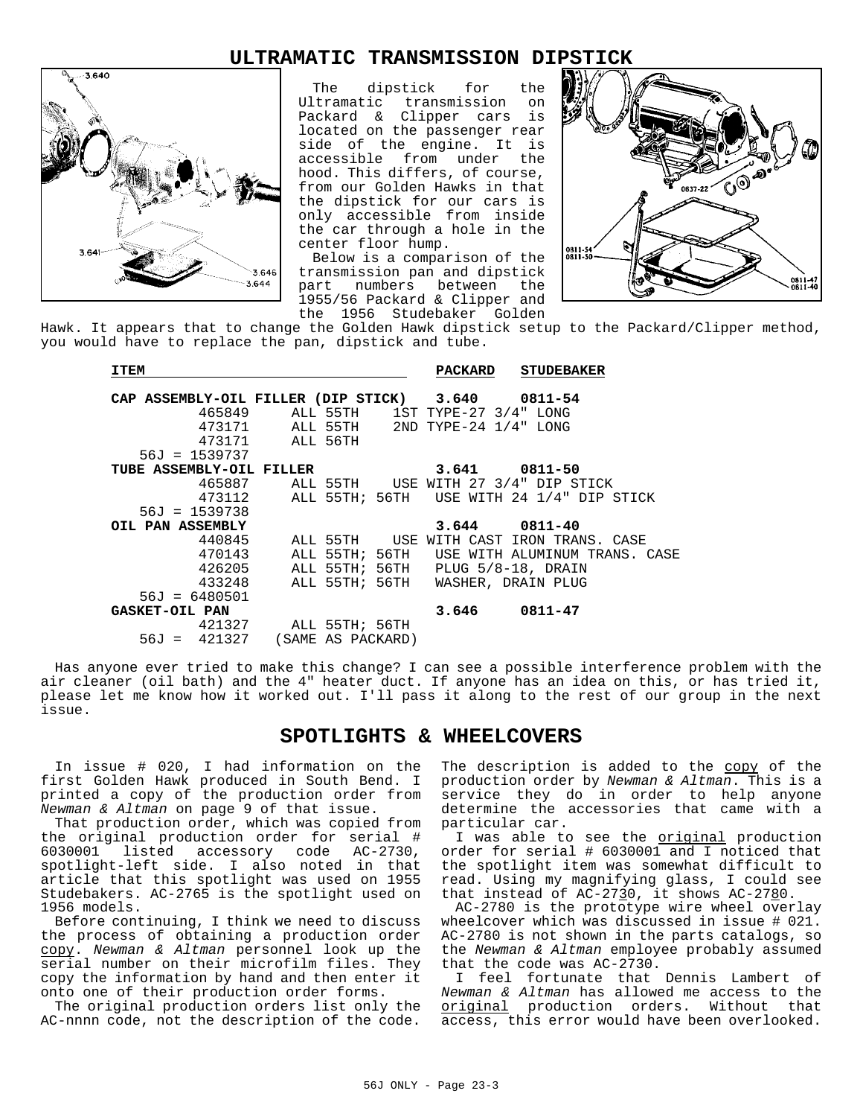# **ULTRAMATIC TRANSMISSION DIPSTICK**



The dipstick for the Ultramatic transmission on Packard & Clipper cars is located on the passenger rear side of the engine. It is accessible from under the hood. This differs, of course, from our Golden Hawks in that the dipstick for our cars is only accessible from inside the car through a hole in the center floor hump.

Below is a comparison of the transmission pan and dipstick part numbers between the 1955/56 Packard & Clipper and the 1956 Studebaker Golden



Hawk. It appears that to change the Golden Hawk dipstick setup to the Packard/Clipper method, you would have to replace the pan, dipstick and tube.

| <b>ITEM</b>                                       |                       |                   | <b>PACKARD</b> | <b>STUDEBAKER</b>                                |  |
|---------------------------------------------------|-----------------------|-------------------|----------------|--------------------------------------------------|--|
| CAP ASSEMBLY-OIL FILLER (DIP STICK) 3.640 0811-54 |                       |                   |                |                                                  |  |
|                                                   |                       |                   |                | 465849 ALL 55TH 1ST TYPE-27 3/4" LONG            |  |
| 473171                                            |                       |                   |                | ALL 55TH 2ND TYPE-24 1/4" LONG                   |  |
|                                                   | 473171 ALL 56TH       |                   |                |                                                  |  |
| $56J = 1539737$                                   |                       |                   |                |                                                  |  |
| TUBE ASSEMBLY-OIL FILLER                          |                       |                   |                | $3.641$ 0811-50                                  |  |
|                                                   |                       |                   |                | 465887 ALL 55TH USE WITH 27 3/4" DIP STICK       |  |
|                                                   |                       |                   |                | 473112 ALL 55TH; 56TH USE WITH 24 1/4" DIP STICK |  |
| $56J = 1539738$                                   |                       |                   |                |                                                  |  |
| OIL PAN ASSEMBLY                                  |                       |                   |                | $3.644$ $0811 - 40$                              |  |
| 440845                                            | ALL 55TH USE          |                   |                | WITH CAST IRON TRANS. CASE                       |  |
| 470143                                            |                       |                   |                | ALL 55TH; 56TH USE WITH ALUMINUM TRANS. CASE     |  |
| 426205                                            |                       |                   |                | ALL 55TH; 56TH PLUG 5/8-18, DRAIN                |  |
| 433248                                            |                       |                   |                | ALL 55TH; 56TH WASHER, DRAIN PLUG                |  |
| $56J = 6480501$                                   |                       |                   |                |                                                  |  |
| <b>GASKET-OIL PAN</b>                             |                       |                   | 3.646          | 0811-47                                          |  |
|                                                   | 421327 ALL 55TH; 56TH |                   |                |                                                  |  |
| $56J = 421327$                                    |                       | (SAME AS PACKARD) |                |                                                  |  |

Has anyone ever tried to make this change? I can see a possible interference problem with the air cleaner (oil bath) and the 4" heater duct. If anyone has an idea on this, or has tried it, please let me know how it worked out. I'll pass it along to the rest of our group in the next issue.

## **SPOTLIGHTS & WHEELCOVERS**

In issue # 020, I had information on the first Golden Hawk produced in South Bend. I printed a copy of the production order from *Newman & Altman* on page 9 of that issue.

That production order, which was copied from the original production order for serial # listed accessory code AC-2730, spotlight-left side. I also noted in that article that this spotlight was used on 1955 Studebakers. AC-2765 is the spotlight used on 1956 models.

Before continuing, I think we need to discuss the process of obtaining a production order copy. *Newman & Altman* personnel look up the serial number on their microfilm files. They copy the information by hand and then enter it onto one of their production order forms.

The original production orders list only the AC-nnnn code, not the description of the code.

The description is added to the copy of the production order by *Newman & Altman*. This is a service they do in order to help anyone determine the accessories that came with a particular car.

I was able to see the original production order for serial # 6030001 and I noticed that the spotlight item was somewhat difficult to read. Using my magnifying glass, I could see that instead of  $AC-2730$ , it shows  $AC-2780$ .

AC-2780 is the prototype wire wheel overlay wheelcover which was discussed in issue # 021. AC-2780 is not shown in the parts catalogs, so the *Newman & Altman* employee probably assumed that the code was AC-2730.

I feel fortunate that Dennis Lambert of *Newman & Altman* has allowed me access to the original production orders. Without that access, this error would have been overlooked.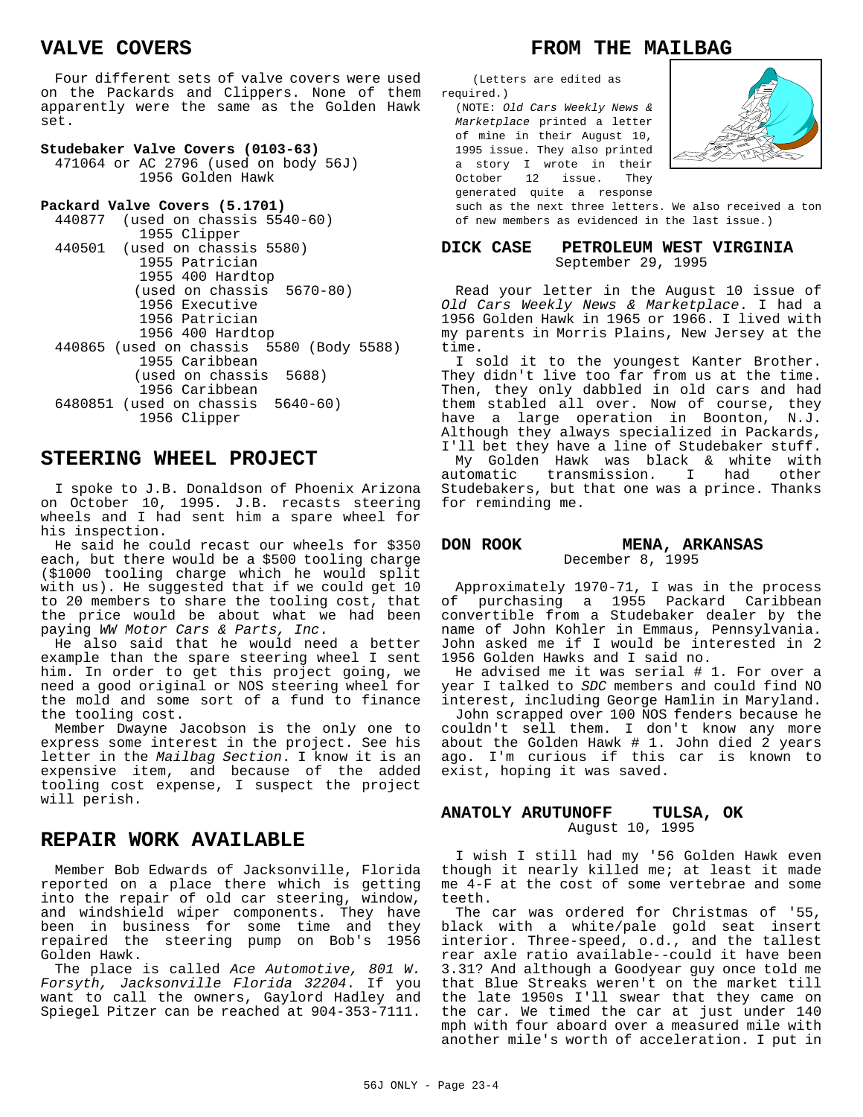# **VALVE COVERS**

Four different sets of valve covers were used on the Packards and Clippers. None of them apparently were the same as the Golden Hawk set.

#### **Studebaker Valve Covers (0103-63)**

471064 or AC 2796 (used on body 56J) 1956 Golden Hawk

```
Packard Valve Covers (5.1701)
440877 (used on chassis 5540-60)
          1955 Clipper
440501 (used on chassis 5580)
          1955 Patrician
          1955 400 Hardtop
           (used on chassis 5670-80)
          1956 Executive
          1956 Patrician
          1956 400 Hardtop
440865 (used on chassis 5580 (Body 5588)
          1955 Caribbean
           (used on chassis 5688)
          1956 Caribbean
6480851 (used on chassis 5640-60)
          1956 Clipper
```
## **STEERING WHEEL PROJECT**

I spoke to J.B. Donaldson of Phoenix Arizona on October 10, 1995. J.B. recasts steering wheels and I had sent him a spare wheel for his inspection.

He said he could recast our wheels for \$350 each, but there would be a \$500 tooling charge (\$1000 tooling charge which he would split with us). He suggested that if we could get 10 to 20 members to share the tooling cost, that the price would be about what we had been paying *WW Motor Cars & Parts, Inc*.

He also said that he would need a better example than the spare steering wheel I sent him. In order to get this project going, we need a good original or NOS steering wheel for the mold and some sort of a fund to finance the tooling cost.

Member Dwayne Jacobson is the only one to express some interest in the project. See his letter in the *Mailbag Section*. I know it is an expensive item, and because of the added tooling cost expense, I suspect the project will perish.

## **REPAIR WORK AVAILABLE**

Member Bob Edwards of Jacksonville, Florida reported on a place there which is getting into the repair of old car steering, window, and windshield wiper components. They have been in business for some time and they repaired the steering pump on Bob's 1956 Golden Hawk.

The place is called *Ace Automotive, 801 W. Forsyth, Jacksonville Florida 32204*. If you want to call the owners, Gaylord Hadley and Spiegel Pitzer can be reached at 904-353-7111.

# **FROM THE MAILBAG**

(Letters are edited as required.)

(NOTE: *Old Cars Weekly News & Marketplace* printed a letter of mine in their August 10, 1995 issue. They also printed a story I wrote in their October 12 issue. They generated quite a response



such as the next three letters. We also received a ton of new members as evidenced in the last issue.)

#### **DICK CASE PETROLEUM WEST VIRGINIA** September 29, 1995

Read your letter in the August 10 issue of *Old Cars Weekly News & Marketplace*. I had a 1956 Golden Hawk in 1965 or 1966. I lived with my parents in Morris Plains, New Jersey at the time.

I sold it to the youngest Kanter Brother. They didn't live too far from us at the time. Then, they only dabbled in old cars and had them stabled all over. Now of course, they have a large operation in Boonton, N.J. Although they always specialized in Packards, I'll bet they have a line of Studebaker stuff. My Golden Hawk was black & white with automatic transmission. I had other Studebakers, but that one was a prince. Thanks for reminding me.

#### **DON ROOK MENA, ARKANSAS** December 8, 1995

Approximately 1970-71, I was in the process of purchasing a 1955 Packard Caribbean convertible from a Studebaker dealer by the name of John Kohler in Emmaus, Pennsylvania. John asked me if I would be interested in 2 1956 Golden Hawks and I said no.

He advised me it was serial # 1. For over a year I talked to *SDC* members and could find NO interest, including George Hamlin in Maryland.

John scrapped over 100 NOS fenders because he couldn't sell them. I don't know any more about the Golden Hawk  $# 1.$  John died 2 years ago. I'm curious if this car is known to exist, hoping it was saved.

#### **ANATOLY ARUTUNOFF TULSA, OK** August 10, 1995

I wish I still had my '56 Golden Hawk even though it nearly killed me; at least it made me 4-F at the cost of some vertebrae and some teeth.

The car was ordered for Christmas of '55, black with a white/pale gold seat insert interior. Three-speed, o.d., and the tallest rear axle ratio available--could it have been 3.31? And although a Goodyear guy once told me that Blue Streaks weren't on the market till the late 1950s I'll swear that they came on the car. We timed the car at just under 140 mph with four aboard over a measured mile with another mile's worth of acceleration. I put in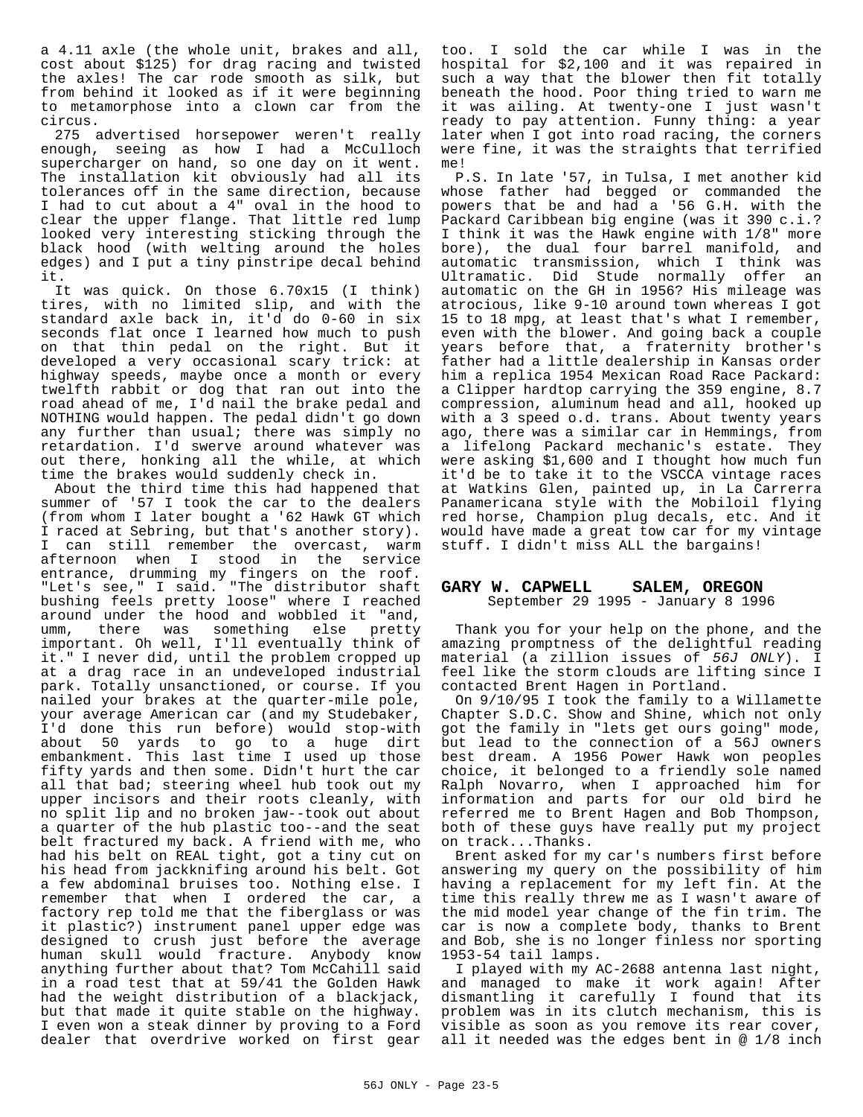a 4.11 axle (the whole unit, brakes and all, cost about \$125) for drag racing and twisted the axles! The car rode smooth as silk, but from behind it looked as if it were beginning to metamorphose into a clown car from the circus.

275 advertised horsepower weren't really enough, seeing as how I had a McCulloch supercharger on hand, so one day on it went. The installation kit obviously had all its tolerances off in the same direction, because I had to cut about a 4" oval in the hood to clear the upper flange. That little red lump looked very interesting sticking through the black hood (with welting around the holes edges) and I put a tiny pinstripe decal behind it.

It was quick. On those 6.70x15 (I think) tires, with no limited slip, and with the standard axle back in, it'd do 0-60 in six seconds flat once I learned how much to push on that thin pedal on the right. But it developed a very occasional scary trick: at highway speeds, maybe once a month or every twelfth rabbit or dog that ran out into the road ahead of me, I'd nail the brake pedal and NOTHING would happen. The pedal didn't go down any further than usual; there was simply no retardation. I'd swerve around whatever was out there, honking all the while, at which time the brakes would suddenly check in.

About the third time this had happened that summer of '57 I took the car to the dealers (from whom I later bought a '62 Hawk GT which I raced at Sebring, but that's another story). I can still remember the overcast, warm afternoon when I stood in the service entrance, drumming my fingers on the roof. "Let's see," I said. "The distributor shaft bushing feels pretty loose" where I reached around under the hood and wobbled it "and, umm, there was something else pretty important. Oh well, I'll eventually think of it." I never did, until the problem cropped up at a drag race in an undeveloped industrial park. Totally unsanctioned, or course. If you nailed your brakes at the quarter-mile pole, your average American car (and my Studebaker, I'd done this run before) would stop-with about 50 yards to go to a huge dirt embankment. This last time I used up those fifty yards and then some. Didn't hurt the car all that bad; steering wheel hub took out my upper incisors and their roots cleanly, with no split lip and no broken jaw--took out about a quarter of the hub plastic too--and the seat belt fractured my back. A friend with me, who had his belt on REAL tight, got a tiny cut on his head from jackknifing around his belt. Got a few abdominal bruises too. Nothing else. I remember that when I ordered the car, a factory rep told me that the fiberglass or was it plastic?) instrument panel upper edge was designed to crush just before the average human skull would fracture. Anybody know anything further about that? Tom McCahill said in a road test that at 59/41 the Golden Hawk had the weight distribution of a blackjack, but that made it quite stable on the highway. I even won a steak dinner by proving to a Ford dealer that overdrive worked on first gear

too. I sold the car while I was in the hospital for \$2,100 and it was repaired in such a way that the blower then fit totally beneath the hood. Poor thing tried to warn me it was ailing. At twenty-one I just wasn't ready to pay attention. Funny thing: a year later when I got into road racing, the corners were fine, it was the straights that terrified me!

P.S. In late '57, in Tulsa, I met another kid whose father had begged or commanded the powers that be and had a '56 G.H. with the Packard Caribbean big engine (was it 390 c.i.? I think it was the Hawk engine with 1/8" more bore), the dual four barrel manifold, and automatic transmission, which I think was Ultramatic. Did Stude normally offer an automatic on the GH in 1956? His mileage was atrocious, like 9-10 around town whereas I got 15 to 18 mpg, at least that's what I remember, even with the blower. And going back a couple years before that, a fraternity brother's father had a little dealership in Kansas order him a replica 1954 Mexican Road Race Packard: a Clipper hardtop carrying the 359 engine, 8.7 compression, aluminum head and all, hooked up with a 3 speed o.d. trans. About twenty years ago, there was a similar car in Hemmings, from a lifelong Packard mechanic's estate. They were asking \$1,600 and I thought how much fun it'd be to take it to the VSCCA vintage races at Watkins Glen, painted up, in La Carrerra Panamericana style with the Mobiloil flying red horse, Champion plug decals, etc. And it would have made a great tow car for my vintage stuff. I didn't miss ALL the bargains!

#### **GARY W. CAPWELL SALEM, OREGON** September 29 1995 - January 8 1996

Thank you for your help on the phone, and the amazing promptness of the delightful reading material (a zillion issues of *56J ONLY*). I feel like the storm clouds are lifting since I contacted Brent Hagen in Portland.

On 9/10/95 I took the family to a Willamette Chapter S.D.C. Show and Shine, which not only got the family in "lets get ours going" mode, but lead to the connection of a 56J owners best dream. A 1956 Power Hawk won peoples choice, it belonged to a friendly sole named Ralph Novarro, when I approached him for information and parts for our old bird he referred me to Brent Hagen and Bob Thompson, both of these guys have really put my project on track...Thanks.

Brent asked for my car's numbers first before answering my query on the possibility of him having a replacement for my left fin. At the time this really threw me as I wasn't aware of the mid model year change of the fin trim. The car is now a complete body, thanks to Brent and Bob, she is no longer finless nor sporting 1953-54 tail lamps.

I played with my AC-2688 antenna last night, and managed to make it work again! After dismantling it carefully I found that its problem was in its clutch mechanism, this is visible as soon as you remove its rear cover, all it needed was the edges bent in @ 1/8 inch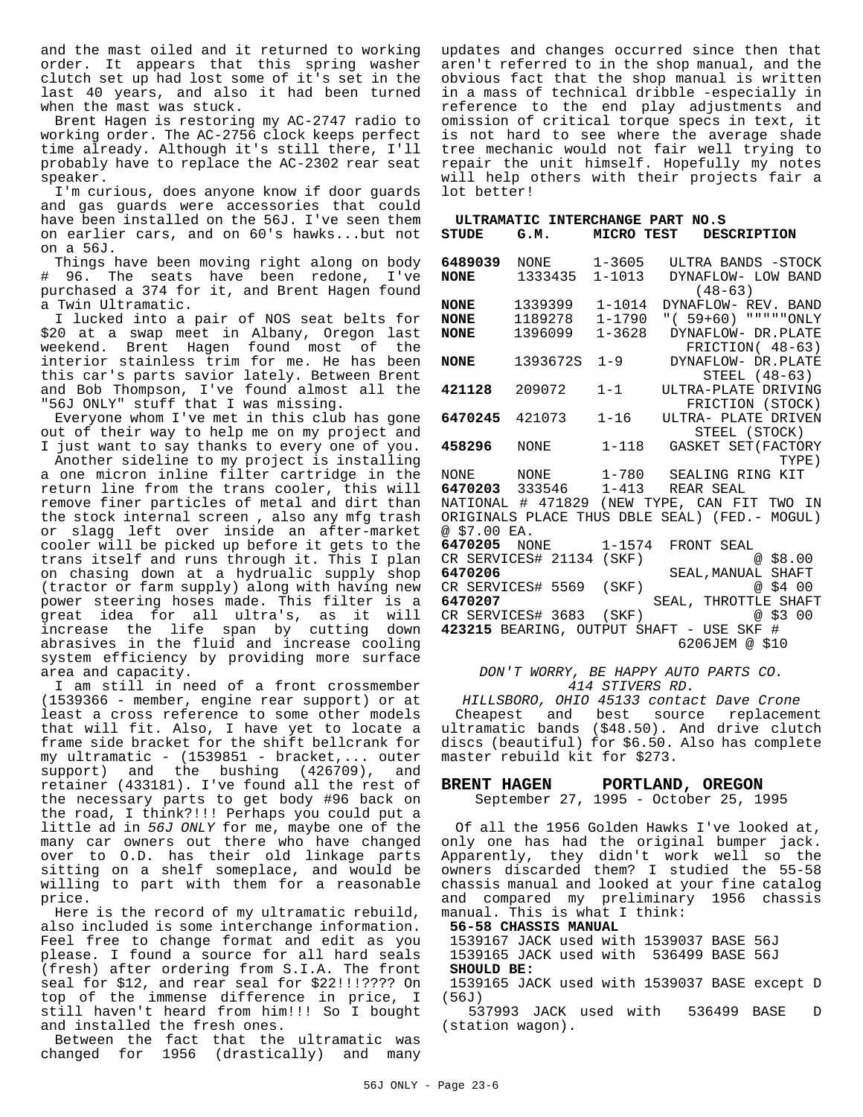and the mast oiled and it returned to working order. It appears that this spring washer clutch set up had lost some of it's set in the last 40 years, and also it had been turned when the mast was stuck.

Brent Hagen is restoring my AC-2747 radio to working order. The AC-2756 clock keeps perfect time already. Although it's still there, I'll probably have to replace the AC-2302 rear seat speaker.

I'm curious, does anyone know if door guards and gas guards were accessories that could have been installed on the 56J. I've seen them on earlier cars, and on 60's hawks...but not on a 56J.

Things have been moving right along on body # 96. The seats have been redone, I've purchased a 374 for it, and Brent Hagen found a Twin Ultramatic.

I lucked into a pair of NOS seat belts for \$20 at a swap meet in Albany, Oregon last weekend. Brent Hagen found most of the interior stainless trim for me. He has been this car's parts savior lately. Between Brent and Bob Thompson, I've found almost all the "56J ONLY" stuff that I was missing.

Everyone whom I've met in this club has gone out of their way to help me on my project and I just want to say thanks to every one of you.

Another sideline to my project is installing a one micron inline filter cartridge in the return line from the trans cooler, this will remove finer particles of metal and dirt than the stock internal screen , also any mfg trash or slagg left over inside an after-market cooler will be picked up before it gets to the trans itself and runs through it. This I plan on chasing down at a hydrualic supply shop (tractor or farm supply) along with having new power steering hoses made. This filter is a great idea for all ultra's, as it will increase the life span by cutting down abrasives in the fluid and increase cooling system efficiency by providing more surface area and capacity.

I am still in need of a front crossmember (1539366 - member, engine rear support) or at least a cross reference to some other models that will fit. Also, I have yet to locate a frame side bracket for the shift bellcrank for my ultramatic - (1539851 - bracket,... outer support) and the bushing (426709), and retainer (433181). I've found all the rest of the necessary parts to get body #96 back on the road, I think?!!! Perhaps you could put a little ad in *56J ONLY* for me, maybe one of the many car owners out there who have changed over to O.D. has their old linkage parts sitting on a shelf someplace, and would be willing to part with them for a reasonable price.

Here is the record of my ultramatic rebuild, also included is some interchange information. Feel free to change format and edit as you please. I found a source for all hard seals (fresh) after ordering from S.I.A. The front seal for \$12, and rear seal for \$22!!!???? On top of the immense difference in price, I still haven't heard from him!!! So I bought and installed the fresh ones.

Between the fact that the ultramatic was changed for 1956 (drastically) and many updates and changes occurred since then that aren't referred to in the shop manual, and the obvious fact that the shop manual is written in a mass of technical dribble -especially in reference to the end play adjustments and omission of critical torque specs in text, it is not hard to see where the average shade tree mechanic would not fair well trying to repair the unit himself. Hopefully my notes will help others with their projects fair a lot better!

| <b>STUDE</b>                              | ULTRAMATIC INTERCHANGE PART NO.S<br>G.M. | MICRO TEST                             | <b>DESCRIPTION</b>                                                                                                |
|-------------------------------------------|------------------------------------------|----------------------------------------|-------------------------------------------------------------------------------------------------------------------|
| 6489039<br><b>NONE</b>                    | NONE 1-3605<br>1333435 1-1013            |                                        | ULTRA BANDS -STOCK<br>DYNAFLOW- LOW BAND<br>$(48 - 63)$                                                           |
| <b>NONE</b><br><b>NONE</b><br><b>NONE</b> | 1339399<br>1189278<br>1396099            | $1 - 1014$<br>$1 - 1790$<br>$1 - 3628$ | DYNAFLOW- REV. BAND<br>" ( 59+60) """ " "ONLY<br>DYNAFLOW- DR.PLATE<br>FRICTION( 48-63)                           |
| <b>NONE</b>                               | 1393672S                                 | $1 - 9$                                | DYNAFLOW- DR.PLATE<br>STEEL (48-63)                                                                               |
| 421128                                    | 209072                                   | $1 - 1$                                | ULTRA-PLATE DRIVING<br>FRICTION (STOCK)                                                                           |
| 6470245                                   | 421073 1-16                              |                                        | ULTRA- PLATE DRIVEN<br>STEEL (STOCK)                                                                              |
| 458296                                    | NONE                                     | $1 - 118$                              | GASKET SET (FACTORY<br>TYPE)                                                                                      |
|                                           |                                          |                                        | NONE NONE 1-780 SEALING RING KIT<br>6470203 333546 1-413 REAR SEAL<br>NATIONAL # 471829 (NEW TYPE, CAN FIT TWO IN |
| @ \$7.00 EA.                              |                                          |                                        | ORIGINALS PLACE THUS DBLE SEAL) (FED. - MOGUL)                                                                    |
| 6470206                                   | 6470205 NONE<br>CR SERVICES# 21134 (SKF) | $1 - 1574$                             | FRONT SEAL<br>@58.00<br>SEAL, MANUAL SHAFT                                                                        |
| 6470207                                   | CR SERVICES# 5569 (SKF)                  |                                        | SEAL, THROTTLE SHAFT                                                                                              |
|                                           | CR SERVICES# 3683 (SKF)                  |                                        | @ \$3 00<br>423215 BEARING, OUTPUT SHAFT - USE SKF<br>#<br>6206JEM @ \$10                                         |

*DON'T WORRY, BE HAPPY AUTO PARTS CO. 414 STIVERS RD.*

*HILLSBORO, OHIO 45133 contact Dave Crone* Cheapest and best source replacement ultramatic bands (\$48.50). And drive clutch discs (beautiful) for \$6.50. Also has complete master rebuild kit for \$273.

#### **BRENT HAGEN PORTLAND, OREGON**

September 27, 1995 - October 25, 1995

Of all the 1956 Golden Hawks I've looked at, only one has had the original bumper jack. Apparently, they didn't work well so the owners discarded them? I studied the 55-58 chassis manual and looked at your fine catalog and compared my preliminary 1956 chassis manual. This is what I think:

**56-58 CHASSIS MANUAL** 

 1539167 JACK used with 1539037 BASE 56J 1539165 JACK used with 536499 BASE 56J **SHOULD BE:**

 1539165 JACK used with 1539037 BASE except D  $(56J)$ 

 537993 JACK used with 536499 BASE D (station wagon).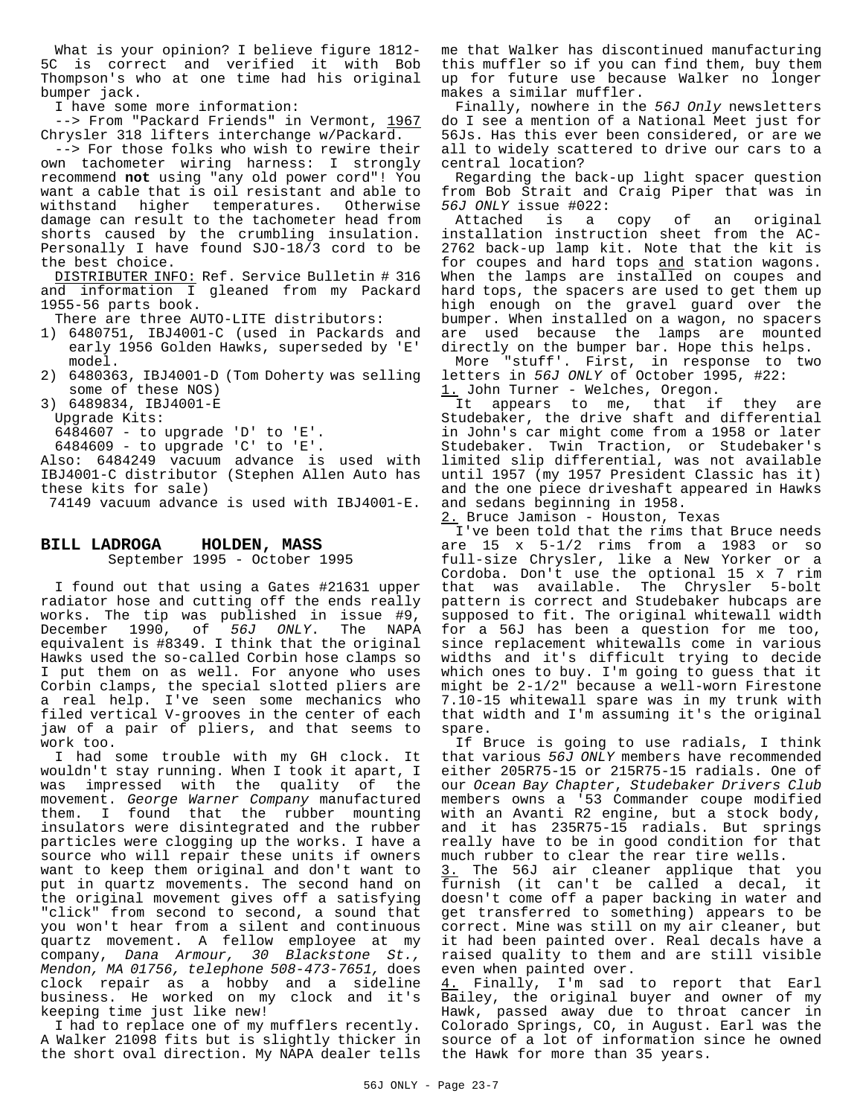What is your opinion? I believe figure 1812-5C is correct and verified it with Bob Thompson's who at one time had his original bumper jack.

I have some more information:

--> From "Packard Friends" in Vermont, 1967 Chrysler 318 lifters interchange w/Packard.

--> For those folks who wish to rewire their own tachometer wiring harness: I strongly recommend **not** using "any old power cord"! You want a cable that is oil resistant and able to withstand higher temperatures. Otherwise damage can result to the tachometer head from shorts caused by the crumbling insulation. Personally I have found SJO-18/3 cord to be the best choice.

DISTRIBUTER INFO: Ref. Service Bulletin # 316 and information I gleaned from my Packard 1955-56 parts book.

There are three AUTO-LITE distributors:

- 1) 6480751, IBJ4001-C (used in Packards and early 1956 Golden Hawks, superseded by 'E' model.
- 2) 6480363, IBJ4001-D (Tom Doherty was selling some of these NOS)

3) 6489834, IBJ4001-E Upgrade Kits:

6484607 - to upgrade 'D' to 'E'.

6484609 - to upgrade 'C' to 'E'.

Also: 6484249 vacuum advance is used with IBJ4001-C distributor (Stephen Allen Auto has these kits for sale)

74149 vacuum advance is used with IBJ4001-E.

#### **BILL LADROGA HOLDEN, MASS** September 1995 - October 1995

I found out that using a Gates #21631 upper radiator hose and cutting off the ends really works. The tip was published in issue #9, December 1990, of *56J ONLY*. The NAPA equivalent is #8349. I think that the original Hawks used the so-called Corbin hose clamps so I put them on as well. For anyone who uses Corbin clamps, the special slotted pliers are a real help. I've seen some mechanics who filed vertical V-grooves in the center of each jaw of a pair of pliers, and that seems to work too.

I had some trouble with my GH clock. It wouldn't stay running. When I took it apart, I was impressed with the quality of the movement. *George Warner Company* manufactured them. I found that the rubber mounting insulators were disintegrated and the rubber particles were clogging up the works. I have a source who will repair these units if owners want to keep them original and don't want to put in quartz movements. The second hand on the original movement gives off a satisfying "click" from second to second, a sound that you won't hear from a silent and continuous quartz movement. A fellow employee at my company, *Dana Armour, 30 Blackstone St., Mendon, MA 01756, telephone 508-473-7651,* does clock repair as a hobby and a sideline business. He worked on my clock and it's keeping time just like new!

I had to replace one of my mufflers recently. A Walker 21098 fits but is slightly thicker in the short oval direction. My NAPA dealer tells me that Walker has discontinued manufacturing this muffler so if you can find them, buy them up for future use because Walker no longer makes a similar muffler.

Finally, nowhere in the *56J Only* newsletters do I see a mention of a National Meet just for 56Js. Has this ever been considered, or are we all to widely scattered to drive our cars to a central location?

Regarding the back-up light spacer question from Bob Strait and Craig Piper that was in *56J ONLY* issue #022:

copy of an original installation instruction sheet from the AC-2762 back-up lamp kit. Note that the kit is for coupes and hard tops and station wagons. When the lamps are installed on coupes and hard tops, the spacers are used to get them up high enough on the gravel guard over the bumper. When installed on a wagon, no spacers are used because the lamps are mounted directly on the bumper bar. Hope this helps.

More "stuff'. First, in response to two letters in *56J ONLY* of October 1995, #22: 1. John Turner - Welches, Oregon.

It appears to me, that if they are Studebaker, the drive shaft and differential in John's car might come from a 1958 or later Studebaker. Twin Traction, or Studebaker's limited slip differential, was not available until 1957 (my 1957 President Classic has it) and the one piece driveshaft appeared in Hawks and sedans beginning in 1958.

2. Bruce Jamison - Houston, Texas

I've been told that the rims that Bruce needs are 15 x 5-1/2 rims from a 1983 or so full-size Chrysler, like a New Yorker or a Cordoba. Don't use the optional 15 x 7 rim that was available. The Chrysler 5-bolt pattern is correct and Studebaker hubcaps are supposed to fit. The original whitewall width for a 56J has been a question for me too, since replacement whitewalls come in various widths and it's difficult trying to decide which ones to buy. I'm going to guess that it might be 2-1/2" because a well-worn Firestone 7.10-15 whitewall spare was in my trunk with that width and I'm assuming it's the original spare.

If Bruce is going to use radials, I think that various *56J ONLY* members have recommended either 205R75-15 or 215R75-15 radials. One of our *Ocean Bay Chapter*, *Studebaker Drivers Club* members owns a '53 Commander coupe modified with an Avanti R2 engine, but a stock body, and it has 235R75-15 radials. But springs really have to be in good condition for that much rubber to clear the rear tire wells.

3. The 56J air cleaner applique that you furnish (it can't be called a decal, it doesn't come off a paper backing in water and get transferred to something) appears to be correct. Mine was still on my air cleaner, but it had been painted over. Real decals have a raised quality to them and are still visible even when painted over.

4. Finally, I'm sad to report that Earl Bailey, the original buyer and owner of my Hawk, passed away due to throat cancer in Colorado Springs, CO, in August. Earl was the source of a lot of information since he owned the Hawk for more than 35 years.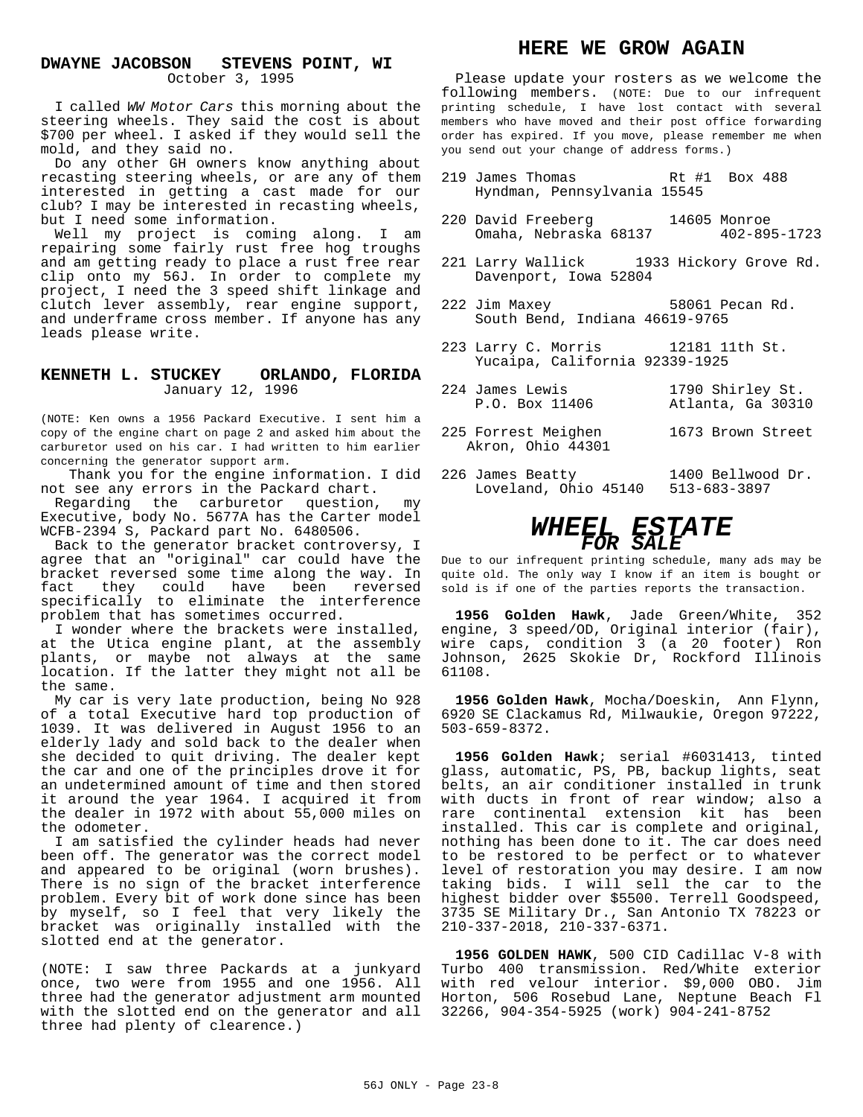#### **DWAYNE JACOBSON STEVENS POINT, WI** October 3, 1995

I called *WW Motor Cars* this morning about the steering wheels. They said the cost is about \$700 per wheel. I asked if they would sell the mold, and they said no.

Do any other GH owners know anything about recasting steering wheels, or are any of them interested in getting a cast made for our club? I may be interested in recasting wheels, but I need some information.

Well my project is coming along. I am repairing some fairly rust free hog troughs and am getting ready to place a rust free rear clip onto my 56J. In order to complete my project, I need the 3 speed shift linkage and clutch lever assembly, rear engine support, and underframe cross member. If anyone has any leads please write.

#### **KENNETH L. STUCKEY ORLANDO, FLORIDA** January 12, 1996

(NOTE: Ken owns a 1956 Packard Executive. I sent him a copy of the engine chart on page 2 and asked him about the carburetor used on his car. I had written to him earlier concerning the generator support arm.

Thank you for the engine information. I did not see any errors in the Packard chart.

Regarding the carburetor question, my Executive, body No. 5677A has the Carter model WCFB-2394 S, Packard part No. 6480506.

Back to the generator bracket controversy, I agree that an "original" car could have the bracket reversed some time along the way. In fact they could have been reversed specifically to eliminate the interference problem that has sometimes occurred.

I wonder where the brackets were installed, at the Utica engine plant, at the assembly plants, or maybe not always at the same location. If the latter they might not all be the same.

My car is very late production, being No 928 of a total Executive hard top production of 1039. It was delivered in August 1956 to an elderly lady and sold back to the dealer when she decided to quit driving. The dealer kept the car and one of the principles drove it for an undetermined amount of time and then stored it around the year 1964. I acquired it from the dealer in 1972 with about 55,000 miles on the odometer.

I am satisfied the cylinder heads had never been off. The generator was the correct model and appeared to be original (worn brushes). There is no sign of the bracket interference problem. Every bit of work done since has been by myself, so I feel that very likely the bracket was originally installed with the slotted end at the generator.

(NOTE: I saw three Packards at a junkyard once, two were from 1955 and one 1956. All three had the generator adjustment arm mounted with the slotted end on the generator and all three had plenty of clearence.)

# **HERE WE GROW AGAIN**

Please update your rosters as we welcome the following members. (NOTE: Due to our infrequent printing schedule, I have lost contact with several members who have moved and their post office forwarding order has expired. If you move, please remember me when you send out your change of address forms.)

- 219 James Thomas Rt #1 Box 488 Hyndman, Pennsylvania 15545
- 220 David Freeberg 14605 Monroe Omaha, Nebraska 68137 402-895-1723
- 221 Larry Wallick 1933 Hickory Grove Rd. Davenport, Iowa 52804
- 222 Jim Maxey 58061 Pecan Rd. South Bend, Indiana 46619-9765
- 223 Larry C. Morris 12181 11th St. Yucaipa, California 92339-1925
- 224 James Lewis 1790 Shirley St.<br>P.O. Box 11406 1111 Atlanta, Ga 3031 Atlanta, Ga 30310
- 225 Forrest Meighen 1673 Brown Street Akron, Ohio 44301
- 226 James Beatty 1400 Bellwood Dr. Loveland, Ohio 45140 513-683-3897

# *WHEEL ESTATE FOR SALE*

Due to our infrequent printing schedule, many ads may be quite old. The only way I know if an item is bought or sold is if one of the parties reports the transaction.

**1956 Golden Hawk**, Jade Green/White, 352 engine, 3 speed/OD, Original interior (fair), wire caps, condition 3 (a 20 footer) Ron Johnson, 2625 Skokie Dr, Rockford Illinois 61108.

**1956 Golden Hawk**, Mocha/Doeskin, Ann Flynn, 6920 SE Clackamus Rd, Milwaukie, Oregon 97222, 503-659-8372.

**1956 Golden Hawk**; serial #6031413, tinted glass, automatic, PS, PB, backup lights, seat belts, an air conditioner installed in trunk with ducts in front of rear window; also a rare continental extension kit has been installed. This car is complete and original, nothing has been done to it. The car does need to be restored to be perfect or to whatever level of restoration you may desire. I am now taking bids. I will sell the car to the highest bidder over \$5500. Terrell Goodspeed, 3735 SE Military Dr., San Antonio TX 78223 or 210-337-2018, 210-337-6371.

**1956 GOLDEN HAWK**, 500 CID Cadillac V-8 with Turbo 400 transmission. Red/White exterior with red velour interior. \$9,000 OBO. Jim Horton, 506 Rosebud Lane, Neptune Beach Fl 32266, 904-354-5925 (work) 904-241-8752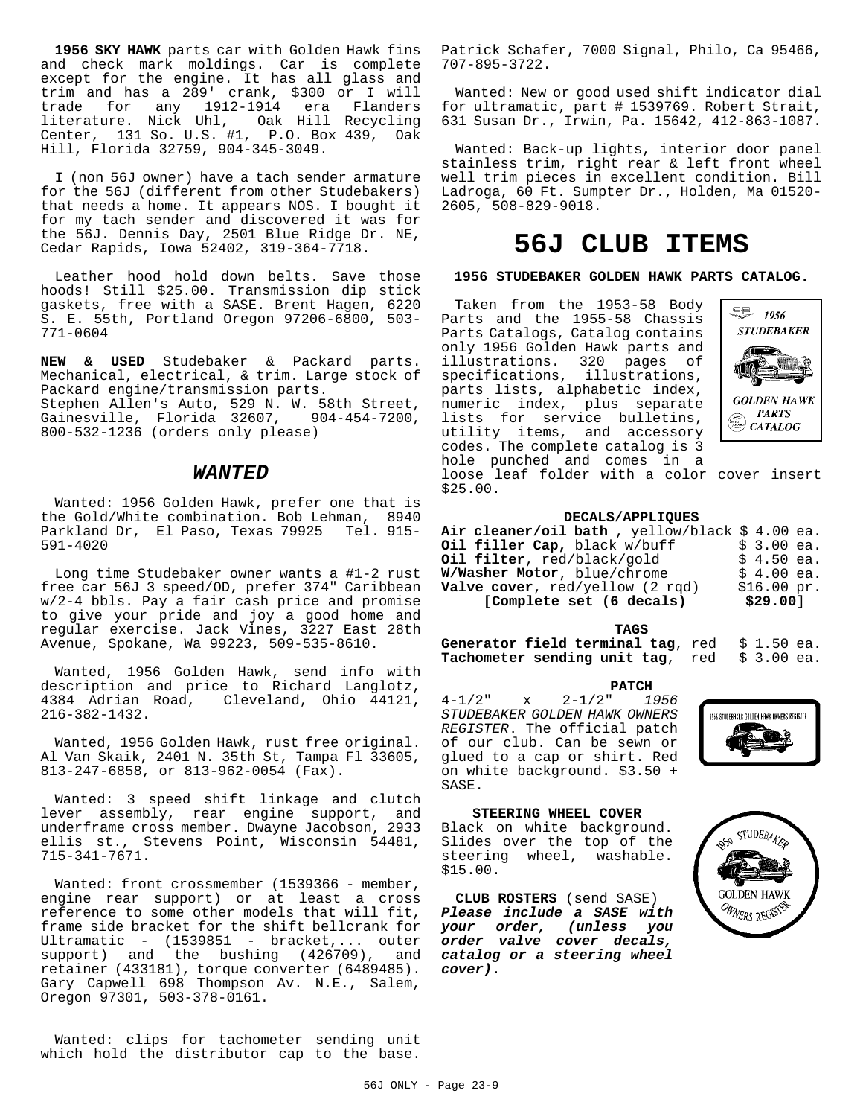**1956 SKY HAWK** parts car with Golden Hawk fins and check mark moldings. Car is complete except for the engine. It has all glass and trim and has a 289' crank, \$300 or I will 1912-1914 era Flanders literature. Nick Uhl, Oak Hill Recycling Center, 131 So. U.S. #1, P.O. Box 439, Oak Hill, Florida 32759, 904-345-3049.

I (non 56J owner) have a tach sender armature for the 56J (different from other Studebakers) that needs a home. It appears NOS. I bought it for my tach sender and discovered it was for the 56J. Dennis Day, 2501 Blue Ridge Dr. NE, Cedar Rapids, Iowa 52402, 319-364-7718.

Leather hood hold down belts. Save those hoods! Still \$25.00. Transmission dip stick gaskets, free with a SASE. Brent Hagen, 6220 S. E. 55th, Portland Oregon 97206-6800, 503- 771-0604

**NEW & USED** Studebaker & Packard parts. Mechanical, electrical, & trim. Large stock of Packard engine/transmission parts. Stephen Allen's Auto, 529 N. W. 58th Street, Gainesville, Florida 32607, 904-454-7200,

800-532-1236 (orders only please)

#### *WANTED*

Wanted: 1956 Golden Hawk, prefer one that is the Gold/White combination. Bob Lehman, 8940 Parkland Dr, El Paso, Texas 79925 Tel. 915- 591-4020

Long time Studebaker owner wants a #1-2 rust free car 56J 3 speed/OD, prefer 374" Caribbean w/2-4 bbls. Pay a fair cash price and promise to give your pride and joy a good home and regular exercise. Jack Vines, 3227 East 28th Avenue, Spokane, Wa 99223, 509-535-8610.

Wanted, 1956 Golden Hawk, send info with description and price to Richard Langlotz, 4384 Adrian Road, Cleveland, Ohio 44121, 216-382-1432.

Wanted, 1956 Golden Hawk, rust free original. Al Van Skaik, 2401 N. 35th St, Tampa Fl 33605, 813-247-6858, or 813-962-0054 (Fax).

Wanted: 3 speed shift linkage and clutch lever assembly, rear engine support, and underframe cross member. Dwayne Jacobson, 2933 ellis st., Stevens Point, Wisconsin 54481, 715-341-7671.

Wanted: front crossmember (1539366 - member, engine rear support) or at least a cross reference to some other models that will fit, frame side bracket for the shift bellcrank for Ultramatic - (1539851 - bracket,... outer support) and the bushing (426709), and retainer (433181), torque converter (6489485). Gary Capwell 698 Thompson Av. N.E., Salem, Oregon 97301, 503-378-0161.

Wanted: clips for tachometer sending unit which hold the distributor cap to the base.

Patrick Schafer, 7000 Signal, Philo, Ca 95466, 707-895-3722.

Wanted: New or good used shift indicator dial for ultramatic, part # 1539769. Robert Strait, 631 Susan Dr., Irwin, Pa. 15642, 412-863-1087.

Wanted: Back-up lights, interior door panel stainless trim, right rear & left front wheel well trim pieces in excellent condition. Bill Ladroga, 60 Ft. Sumpter Dr., Holden, Ma 01520- 2605, 508-829-9018.

# **56J CLUB ITEMS**

#### **1956 STUDEBAKER GOLDEN HAWK PARTS CATALOG.**

 Taken from the 1953-58 Body Parts and the 1955-58 Chassis Parts Catalogs, Catalog contains only 1956 Golden Hawk parts and illustrations. 320 pages of specifications, illustrations, parts lists, alphabetic index, numeric index, plus separate lists for service bulletins, utility items, and accessory codes. The complete catalog is 3 hole punched and comes in a loose leaf folder with a color cover insert \$25.00.



#### **DECALS/APPLIQUES**

| Air cleaner/oil bath, yellow/black $$4.00$ ea. |             |  |
|------------------------------------------------|-------------|--|
| Oil filler Cap, black w/buff                   | $$3.00$ ea. |  |
| Oil filter, red/black/gold                     | $$4.50$ ea. |  |
| W/Washer Motor, blue/chrome                    | $$4.00$ ea. |  |
| <b>Valve cover</b> , $red/yellow$ (2 $rad$ )   | \$16.00~pr. |  |
| [Complete set (6 decals)                       | \$29.00]    |  |

**TAGS**

Generator field terminal tag, red  $$1.50$  ea.<br>Tachometer sending unit tag, red  $$3.00$  ea. **Tachometer sending unit tag**, red

#### **PATCH**

4-1/2" x 2-1/2" *1956 STUDEBAKER GOLDEN HAWK OWNERS REGISTER*. The official patch of our club. Can be sewn or glued to a cap or shirt. Red on white background. \$3.50 + SASE.



#### **STEERING WHEEL COVER**

Black on white background. Slides over the top of the steering wheel, washable. \$15.00.

**CLUB ROSTERS** (send SASE) *Please include a SASE with your order, (unless you order valve cover decals, catalog or a steering wheel cover)*.